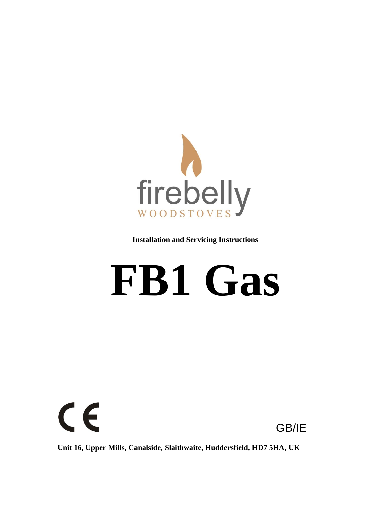

**Installation and Servicing Instructions**

# **FB1 Gas**



**Unit 16, Upper Mills, Canalside, Slaithwaite, Huddersfield, HD7 5HA, UK**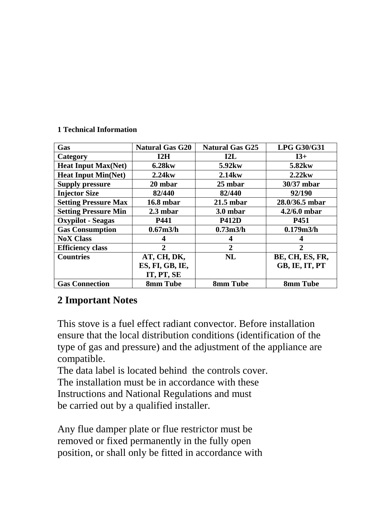#### **1 Technical Information**

| Gas                         | <b>Natural Gas G20</b> | <b>Natural Gas G25</b> | <b>LPG G30/G31</b> |
|-----------------------------|------------------------|------------------------|--------------------|
| Category                    | 12H                    | 12L                    | $I3+$              |
| <b>Heat Input Max(Net)</b>  | 6.28 <sub>kw</sub>     | 5.92 <sub>kw</sub>     | 5.82 <sub>kw</sub> |
| <b>Heat Input Min(Net)</b>  | $2.24$ kw              | $2.14$ kw              | $2.22$ kw          |
| <b>Supply pressure</b>      | 20 mbar                | 25 mbar                | 30/37 mbar         |
| <b>Injector Size</b>        | 82/440                 | 82/440                 | 92/190             |
| <b>Setting Pressure Max</b> | <b>16.8 mbar</b>       | $21.5$ mbar            | 28.0/36.5 mbar     |
| <b>Setting Pressure Min</b> | $2.3$ mbar             | 3.0 mbar               | $4.2/6.0$ mbar     |
| <b>Oxypilot</b> - Seagas    | P441                   | <b>P412D</b>           | P451               |
| <b>Gas Consumption</b>      | 0.67 <sub>m3/h</sub>   | 0.73 <sub>m3/h</sub>   | 0.179m3/h          |
| <b>NoX Class</b>            |                        | 4                      |                    |
| <b>Efficiency class</b>     | $\mathbf{2}$           | $\mathbf{2}$           | 2                  |
| <b>Countries</b>            | AT, CH, DK,            | <b>NL</b>              | BE, CH, ES, FR,    |
|                             | ES, FI, GB, IE,        |                        | GB, IE, IT, PT     |
|                             | IT, PT, SE             |                        |                    |
| <b>Gas Connection</b>       | 8mm Tube               | 8mm Tube               | 8mm Tube           |

#### **2 Important Notes**

This stove is a fuel effect radiant convector. Before installation ensure that the local distribution conditions (identification of the type of gas and pressure) and the adjustment of the appliance are compatible.

The data label is located behind the controls cover. The installation must be in accordance with these Instructions and National Regulations and must be carried out by a qualified installer.

Any flue damper plate or flue restrictor must be removed or fixed permanently in the fully open position, or shall only be fitted in accordance with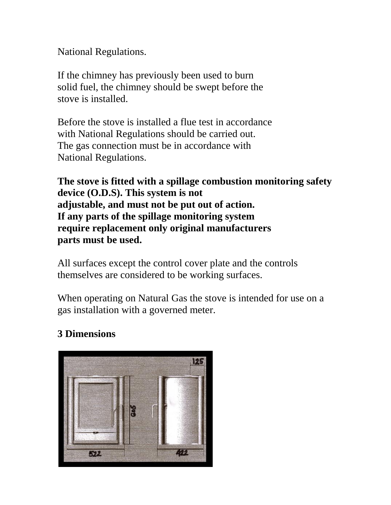National Regulations.

If the chimney has previously been used to burn solid fuel, the chimney should be swept before the stove is installed.

Before the stove is installed a flue test in accordance with National Regulations should be carried out. The gas connection must be in accordance with National Regulations.

**The stove is fitted with a spillage combustion monitoring safety device (O.D.S). This system is not adjustable, and must not be put out of action. If any parts of the spillage monitoring system require replacement only original manufacturers parts must be used.**

All surfaces except the control cover plate and the controls themselves are considered to be working surfaces.

When operating on Natural Gas the stove is intended for use on a gas installation with a governed meter.

# **3 Dimensions**

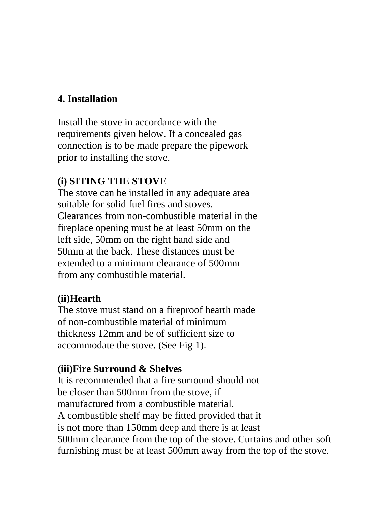## **4. Installation**

Install the stove in accordance with the requirements given below. If a concealed gas connection is to be made prepare the pipework prior to installing the stove.

#### **(i) SITING THE STOVE**

The stove can be installed in any adequate area suitable for solid fuel fires and stoves. Clearances from non-combustible material in the fireplace opening must be at least 50mm on the left side, 50mm on the right hand side and 50mm at the back. These distances must be extended to a minimum clearance of 500mm from any combustible material.

#### **(ii)Hearth**

The stove must stand on a fireproof hearth made of non-combustible material of minimum thickness 12mm and be of sufficient size to accommodate the stove. (See Fig 1).

#### **(iii)Fire Surround & Shelves**

It is recommended that a fire surround should not be closer than 500mm from the stove, if manufactured from a combustible material. A combustible shelf may be fitted provided that it is not more than 150mm deep and there is at least 500mm clearance from the top of the stove. Curtains and other soft furnishing must be at least 500mm away from the top of the stove.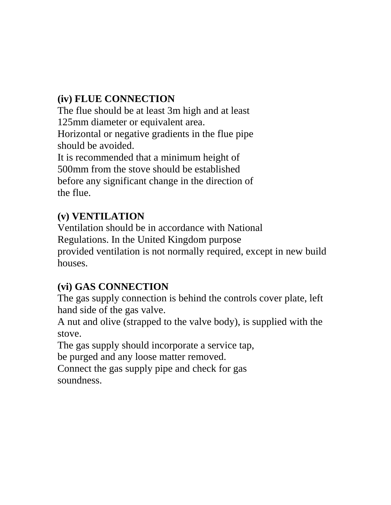# **(iv) FLUE CONNECTION**

The flue should be at least 3m high and at least 125mm diameter or equivalent area.

Horizontal or negative gradients in the flue pipe should be avoided.

It is recommended that a minimum height of 500mm from the stove should be established before any significant change in the direction of the flue.

# **(v) VENTILATION**

Ventilation should be in accordance with National Regulations. In the United Kingdom purpose provided ventilation is not normally required, except in new build houses.

# **(vi) GAS CONNECTION**

The gas supply connection is behind the controls cover plate, left hand side of the gas valve.

A nut and olive (strapped to the valve body), is supplied with the stove.

The gas supply should incorporate a service tap,

be purged and any loose matter removed.

Connect the gas supply pipe and check for gas soundness.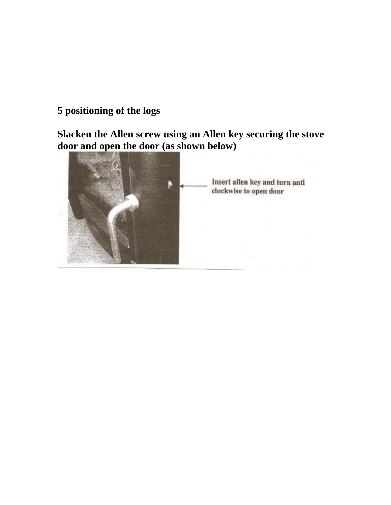# **5 positioning of the logs**

**Slacken the Allen screw using an Allen key securing the stove door and open the door (as shown below)**

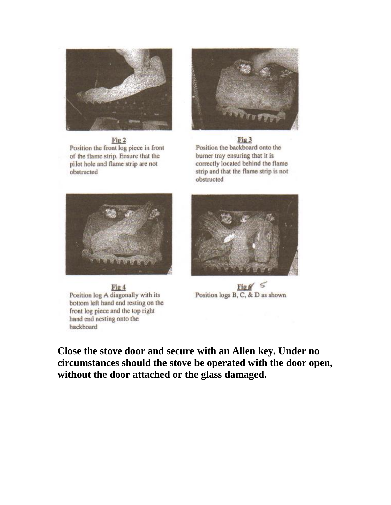

Fig 2 Position the front log piece in front of the flame strip. Ensure that the pilot hole and flame strip are not obstructed



Fig 3 Position the backboard onto the burner tray ensuring that it is correctly located behind the flame strip and that the flame strip is not obstructed





 $\frac{\text{Fig } g'}{\text{Position logs B, C, & D as shown}}$ 

Fig 4 Position log A diagonally with its bottom left hand end resting on the front log piece and the top right hand end nesting onto the backboard

**Close the stove door and secure with an Allen key. Under no circumstances should the stove be operated with the door open, without the door attached or the glass damaged.**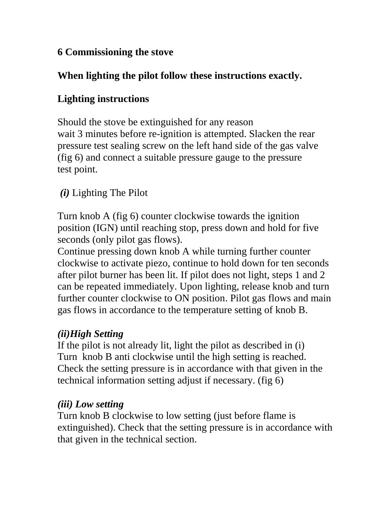# **6 Commissioning the stove**

# **When lighting the pilot follow these instructions exactly.**

# **Lighting instructions**

Should the stove be extinguished for any reason wait 3 minutes before re-ignition is attempted. Slacken the rear pressure test sealing screw on the left hand side of the gas valve (fig 6) and connect a suitable pressure gauge to the pressure test point.

# *(i)* Lighting The Pilot

Turn knob A (fig 6) counter clockwise towards the ignition position (IGN) until reaching stop, press down and hold for five seconds (only pilot gas flows).

Continue pressing down knob A while turning further counter clockwise to activate piezo, continue to hold down for ten seconds after pilot burner has been lit. If pilot does not light, steps 1 and 2 can be repeated immediately. Upon lighting, release knob and turn further counter clockwise to ON position. Pilot gas flows and main gas flows in accordance to the temperature setting of knob B.

# *(ii)High Setting*

If the pilot is not already lit, light the pilot as described in (i) Turn knob B anti clockwise until the high setting is reached. Check the setting pressure is in accordance with that given in the technical information setting adjust if necessary. (fig 6)

# *(iii) Low setting*

Turn knob B clockwise to low setting (just before flame is extinguished). Check that the setting pressure is in accordance with that given in the technical section.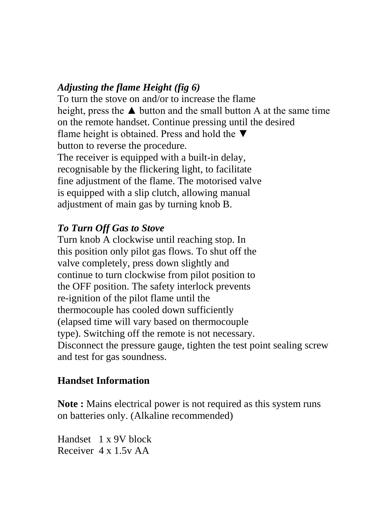## *Adjusting the flame Height (fig 6)*

To turn the stove on and/or to increase the flame height, press the  $\triangle$  button and the small button A at the same time on the remote handset. Continue pressing until the desired flame height is obtained. Press and hold the  $\nabla$ button to reverse the procedure. The receiver is equipped with a built-in delay, recognisable by the flickering light, to facilitate fine adjustment of the flame. The motorised valve is equipped with a slip clutch, allowing manual adjustment of main gas by turning knob B.

## *To Turn Off Gas to Stove*

Turn knob A clockwise until reaching stop. In this position only pilot gas flows. To shut off the valve completely, press down slightly and continue to turn clockwise from pilot position to the OFF position. The safety interlock prevents re-ignition of the pilot flame until the thermocouple has cooled down sufficiently (elapsed time will vary based on thermocouple type). Switching off the remote is not necessary. Disconnect the pressure gauge, tighten the test point sealing screw and test for gas soundness.

## **Handset Information**

**Note :** Mains electrical power is not required as this system runs on batteries only. (Alkaline recommended)

Handset 1 x 9V block Receiver 4 x 1.5v AA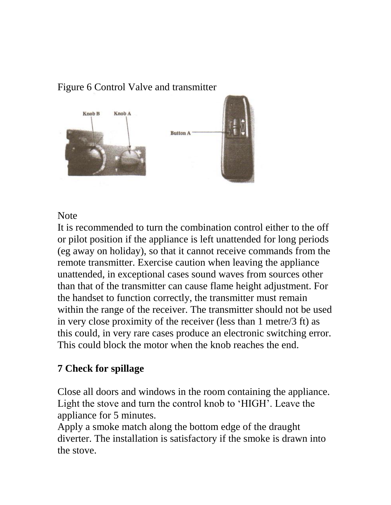# Figure 6 Control Valve and transmitter



#### Note

It is recommended to turn the combination control either to the off or pilot position if the appliance is left unattended for long periods (eg away on holiday), so that it cannot receive commands from the remote transmitter. Exercise caution when leaving the appliance unattended, in exceptional cases sound waves from sources other than that of the transmitter can cause flame height adjustment. For the handset to function correctly, the transmitter must remain within the range of the receiver. The transmitter should not be used in very close proximity of the receiver (less than 1 metre/3 ft) as this could, in very rare cases produce an electronic switching error. This could block the motor when the knob reaches the end.

## **7 Check for spillage**

Close all doors and windows in the room containing the appliance. Light the stove and turn the control knob to 'HIGH'. Leave the appliance for 5 minutes.

Apply a smoke match along the bottom edge of the draught diverter. The installation is satisfactory if the smoke is drawn into the stove.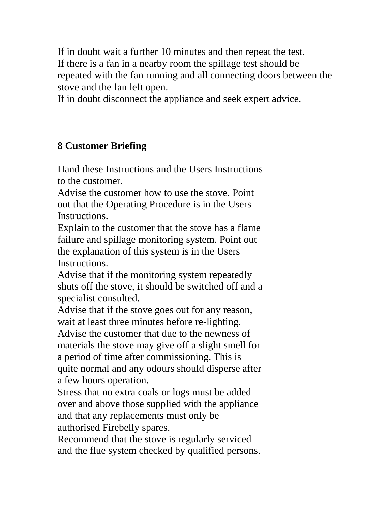If in doubt wait a further 10 minutes and then repeat the test. If there is a fan in a nearby room the spillage test should be repeated with the fan running and all connecting doors between the stove and the fan left open.

If in doubt disconnect the appliance and seek expert advice.

# **8 Customer Briefing**

Hand these Instructions and the Users Instructions to the customer.

Advise the customer how to use the stove. Point out that the Operating Procedure is in the Users Instructions.

Explain to the customer that the stove has a flame failure and spillage monitoring system. Point out the explanation of this system is in the Users Instructions.

Advise that if the monitoring system repeatedly shuts off the stove, it should be switched off and a specialist consulted.

Advise that if the stove goes out for any reason, wait at least three minutes before re-lighting. Advise the customer that due to the newness of materials the stove may give off a slight smell for a period of time after commissioning. This is quite normal and any odours should disperse after a few hours operation.

Stress that no extra coals or logs must be added over and above those supplied with the appliance and that any replacements must only be authorised Firebelly spares.

Recommend that the stove is regularly serviced and the flue system checked by qualified persons.